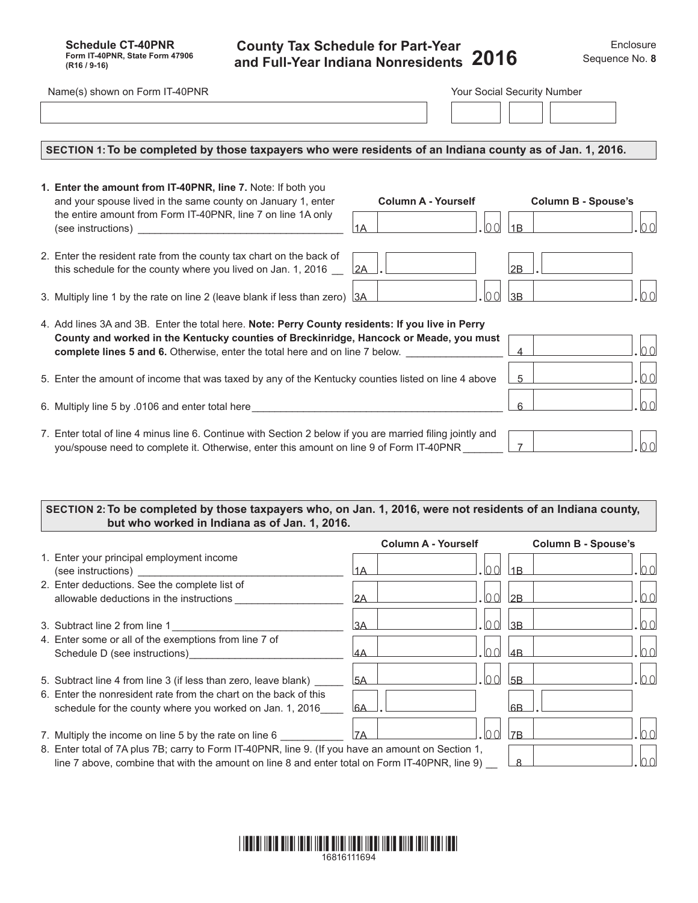## **County Tax Schedule for Part-Year and Full-Year Indiana Nonresidents** 2016 Sequence No. 8

| Name(s) shown on Form IT-40PNR                                                                                                                                                                                                                                                    |                                            | Your Social Security Number             |
|-----------------------------------------------------------------------------------------------------------------------------------------------------------------------------------------------------------------------------------------------------------------------------------|--------------------------------------------|-----------------------------------------|
| SECTION 1: To be completed by those taxpayers who were residents of an Indiana county as of Jan. 1, 2016.                                                                                                                                                                         |                                            |                                         |
| 1. Enter the amount from IT-40PNR, line 7. Note: If both you<br>and your spouse lived in the same county on January 1, enter<br>the entire amount from Form IT-40PNR, line 7 on line 1A only                                                                                      | <b>Column A - Yourself</b><br>lo ol<br> 1A | <b>Column B - Spouse's</b><br>100<br>1B |
| 2. Enter the resident rate from the county tax chart on the back of<br>this schedule for the county where you lived on Jan. 1, 2016                                                                                                                                               | 2A                                         | 2B                                      |
| 3. Multiply line 1 by the rate on line 2 (leave blank if less than zero) 3A                                                                                                                                                                                                       | 00                                         | 00<br> 3B                               |
| 4. Add lines 3A and 3B. Enter the total here. Note: Perry County residents: If you live in Perry<br>County and worked in the Kentucky counties of Breckinridge, Hancock or Meade, you must<br><b>complete lines 5 and 6.</b> Otherwise, enter the total here and on line 7 below. |                                            | 100<br>$\overline{4}$                   |
| 5. Enter the amount of income that was taxed by any of the Kentucky counties listed on line 4 above                                                                                                                                                                               |                                            | $ 00\rangle$<br>$5^{\circ}$             |
| 6. Multiply line 5 by .0106 and enter total here                                                                                                                                                                                                                                  |                                            | 0 <sub>0</sub><br>6                     |
| 7. Enter total of line 4 minus line 6. Continue with Section 2 below if you are married filing jointly and<br>you/spouse need to complete it. Otherwise, enter this amount on line 9 of Form IT-40PNR                                                                             |                                            | 100 <sup>1</sup><br>$\overline{7}$      |

## **SECTION 2:To be completed by those taxpayers who, on Jan. 1, 2016, were not residents of an Indiana county, but who worked in Indiana as of Jan. 1, 2016.**

|                                                                                                    |           | <b>Column A - Yourself</b> | <b>Column B - Spouse's</b> |
|----------------------------------------------------------------------------------------------------|-----------|----------------------------|----------------------------|
| 1. Enter your principal employment income                                                          |           |                            |                            |
| (see instructions)                                                                                 | 1A        |                            | 1B                         |
| 2. Enter deductions. See the complete list of                                                      |           |                            |                            |
| allowable deductions in the instructions                                                           | 12A       |                            | $\overline{M}$<br>2B       |
|                                                                                                    |           |                            |                            |
| 3. Subtract line 2 from line 1                                                                     | 3A        |                            | 3B                         |
| 4. Enter some or all of the exemptions from line 7 of                                              |           |                            |                            |
| Schedule D (see instructions)                                                                      | I4A       |                            | 4 <sub>R</sub>             |
|                                                                                                    |           |                            |                            |
| 5. Subtract line 4 from line 3 (if less than zero, leave blank)                                    | <b>5A</b> |                            | 5B                         |
| 6. Enter the nonresident rate from the chart on the back of this                                   |           |                            |                            |
| schedule for the county where you worked on Jan. 1, 2016                                           | l6A       |                            | <b>I</b> 6B                |
|                                                                                                    |           |                            |                            |
| 7. Multiply the income on line 5 by the rate on line 6                                             | 17A       |                            | 7 <sub>R</sub>             |
| 8. Enter total of 7A plus 7B; carry to Form IT-40PNR, line 9. (If you have an amount on Section 1, |           |                            |                            |
| line 7 above, combine that with the amount on line 8 and enter total on Form IT-40PNR, line 9)     |           |                            | <sup>8</sup>               |
|                                                                                                    |           |                            |                            |

## \*16816111694\* 16816111694